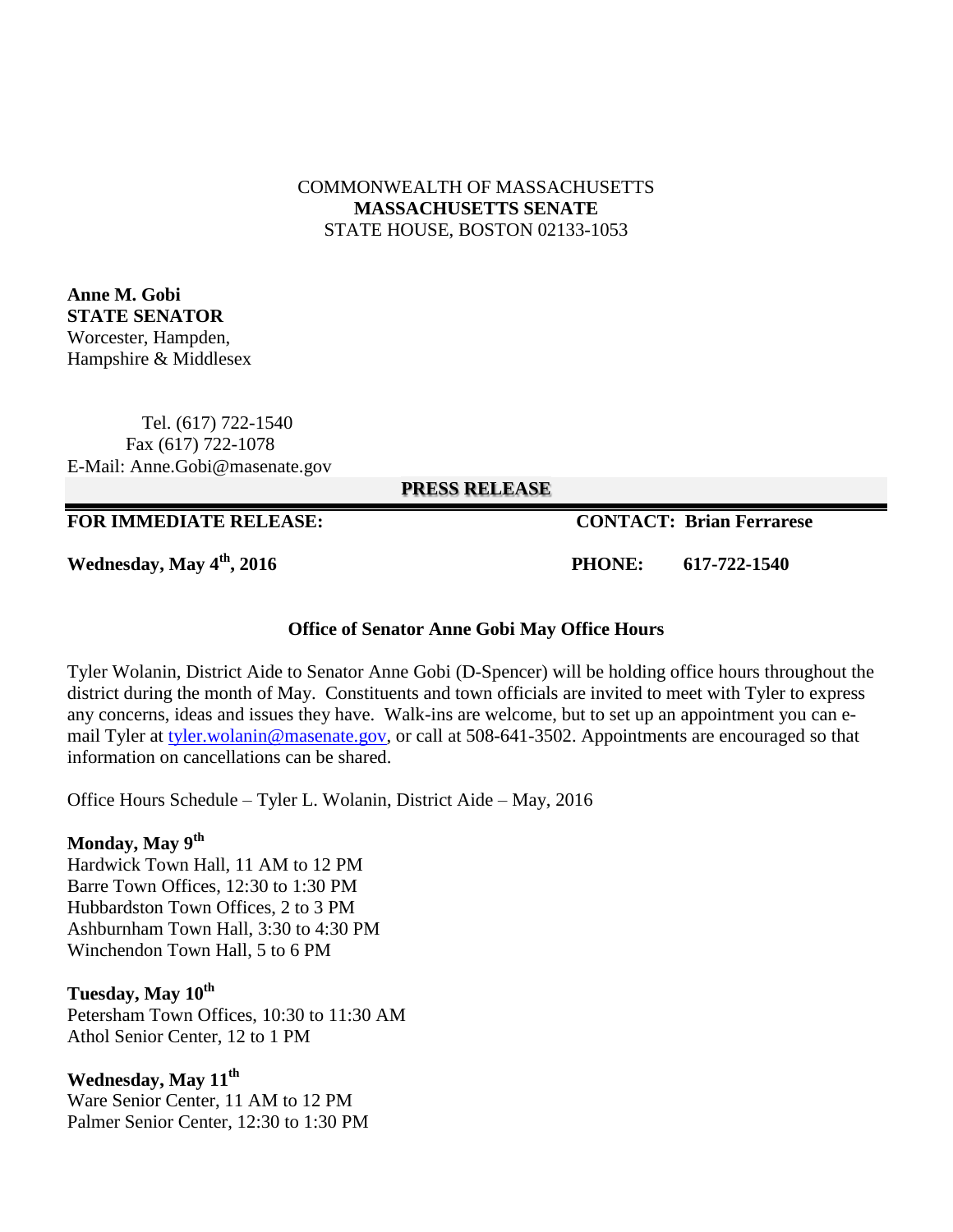#### COMMONWEALTH OF MASSACHUSETTS **MASSACHUSETTS SENATE** STATE HOUSE, BOSTON 02133-1053

**Anne M. Gobi STATE SENATOR** Worcester, Hampden, Hampshire & Middlesex

 Tel. (617) 722-1540 Fax (617) 722-1078 E-Mail: Anne.Gobi@masenate.gov

**PRESS RELEASE**

#### **FOR IMMEDIATE RELEASE: CONTACT: Brian Ferrarese**

**Wednesday, May 4th, 2016 PHONE: 617-722-1540**

#### **Office of Senator Anne Gobi May Office Hours**

Tyler Wolanin, District Aide to Senator Anne Gobi (D-Spencer) will be holding office hours throughout the district during the month of May. Constituents and town officials are invited to meet with Tyler to express any concerns, ideas and issues they have. Walk-ins are welcome, but to set up an appointment you can email Tyler at [tyler.wolanin@masenate.gov,](mailto:tyler.wolanin@masenate.gov) or call at 508-641-3502. Appointments are encouraged so that information on cancellations can be shared.

Office Hours Schedule – Tyler L. Wolanin, District Aide – May, 2016

#### **Monday, May 9th**

Hardwick Town Hall, 11 AM to 12 PM Barre Town Offices, 12:30 to 1:30 PM Hubbardston Town Offices, 2 to 3 PM Ashburnham Town Hall, 3:30 to 4:30 PM Winchendon Town Hall, 5 to 6 PM

### **Tuesday, May 10th**

Petersham Town Offices, 10:30 to 11:30 AM Athol Senior Center, 12 to 1 PM

**Wednesday, May 11th** Ware Senior Center, 11 AM to 12 PM Palmer Senior Center, 12:30 to 1:30 PM